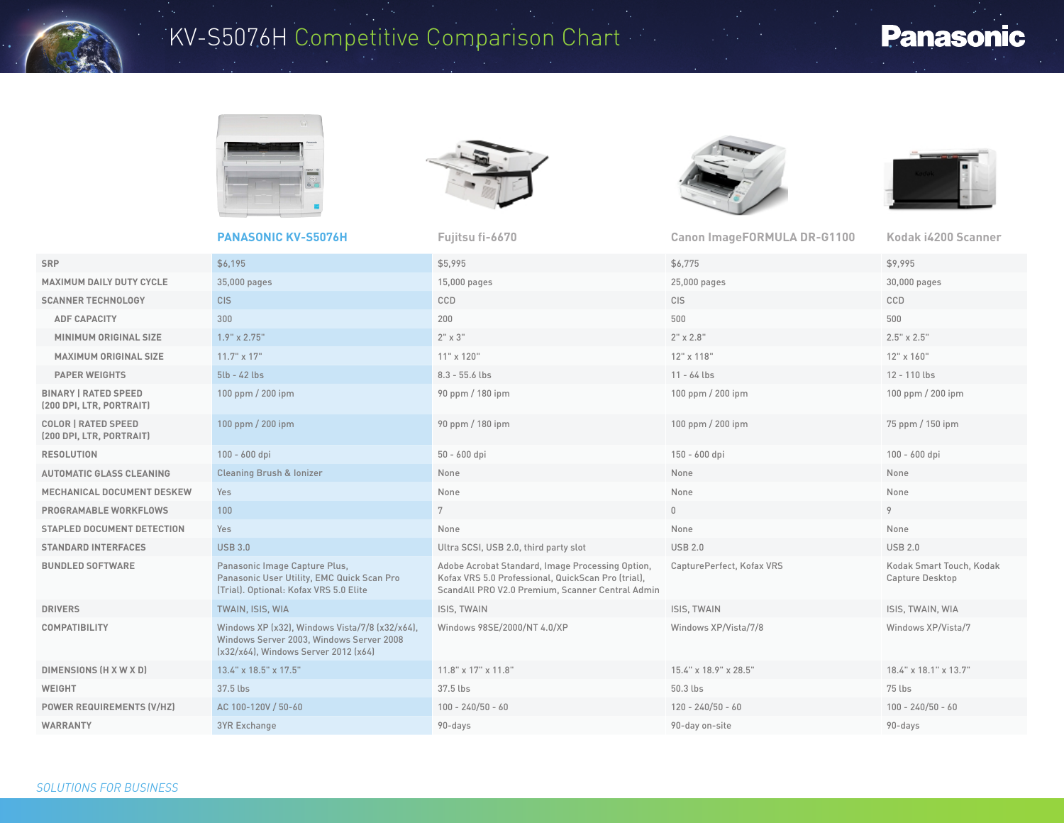

## KV-S5076H Competitive Comparison Chart

## **Panasonic**









|                                                         | <b>PANASONIC KV-S5076H</b>                                                                                                         | Fujitsu fi-6670                                                                                                                                            | <b>Canon ImageFORMULA DR-G1100</b> | Kodak i4200 Scanner                         |
|---------------------------------------------------------|------------------------------------------------------------------------------------------------------------------------------------|------------------------------------------------------------------------------------------------------------------------------------------------------------|------------------------------------|---------------------------------------------|
| SRP                                                     | \$6,195                                                                                                                            | \$5,995                                                                                                                                                    | \$6,775                            | \$9,995                                     |
| <b>MAXIMUM DAILY DUTY CYCLE</b>                         | 35,000 pages                                                                                                                       | 15,000 pages                                                                                                                                               | 25,000 pages                       | 30,000 pages                                |
| <b>SCANNER TECHNOLOGY</b>                               | C <sub>IS</sub>                                                                                                                    | CCD                                                                                                                                                        | <b>CIS</b>                         | CCD                                         |
| <b>ADF CAPACITY</b>                                     | 300                                                                                                                                | 200                                                                                                                                                        | 500                                | 500                                         |
| MINIMUM ORIGINAL SIZE                                   | $1.9" \times 2.75"$                                                                                                                | $2" \times 3"$                                                                                                                                             | $2" \times 2.8"$                   | $2.5" \times 2.5"$                          |
| MAXIMUM ORIGINAL SIZE                                   | $11.7" \times 17"$                                                                                                                 | 11" x 120"                                                                                                                                                 | 12" x 118"                         | 12" x 160"                                  |
| <b>PAPER WEIGHTS</b>                                    | $5lb - 42 lbs$                                                                                                                     | $8.3 - 55.6$ lbs                                                                                                                                           | $11 - 64$ lbs                      | 12 - 110 lbs                                |
| <b>BINARY   RATED SPEED</b><br>(200 DPI, LTR, PORTRAIT) | 100 ppm / 200 ipm                                                                                                                  | 90 ppm / 180 ipm                                                                                                                                           | 100 ppm / 200 ipm                  | 100 ppm / 200 ipm                           |
| <b>COLOR   RATED SPEED</b><br>(200 DPI, LTR, PORTRAIT)  | 100 ppm / 200 ipm                                                                                                                  | 90 ppm / 180 ipm                                                                                                                                           | 100 ppm / 200 ipm                  | 75 ppm / 150 ipm                            |
| <b>RESOLUTION</b>                                       | 100 - 600 dpi                                                                                                                      | 50 - 600 dpi                                                                                                                                               | 150 - 600 dpi                      | 100 - 600 dpi                               |
| <b>AUTOMATIC GLASS CLEANING</b>                         | <b>Cleaning Brush &amp; Ionizer</b>                                                                                                | None                                                                                                                                                       | None                               | None                                        |
| MECHANICAL DOCUMENT DESKEW                              | Yes                                                                                                                                | None                                                                                                                                                       | None                               | None                                        |
| PROGRAMABLE WORKFLOWS                                   | 100                                                                                                                                | 7                                                                                                                                                          | $\mathbf 0$                        | 9                                           |
| <b>STAPLED DOCUMENT DETECTION</b>                       | Yes                                                                                                                                | None                                                                                                                                                       | None                               | None                                        |
| <b>STANDARD INTERFACES</b>                              | <b>USB 3.0</b>                                                                                                                     | Ultra SCSI, USB 2.0, third party slot                                                                                                                      | <b>USB 2.0</b>                     | <b>USB 2.0</b>                              |
| <b>BUNDLED SOFTWARE</b>                                 | Panasonic Image Capture Plus,<br>Panasonic User Utility, EMC Quick Scan Pro<br>(Trial). Optional: Kofax VRS 5.0 Elite              | Adobe Acrobat Standard, Image Processing Option,<br>Kofax VRS 5.0 Professional, QuickScan Pro (trial),<br>ScandAll PRO V2.0 Premium, Scanner Central Admin | CapturePerfect, Kofax VRS          | Kodak Smart Touch, Kodak<br>Capture Desktop |
| <b>DRIVERS</b>                                          | TWAIN, ISIS, WIA                                                                                                                   | ISIS, TWAIN                                                                                                                                                | ISIS, TWAIN                        | ISIS, TWAIN, WIA                            |
| <b>COMPATIBILITY</b>                                    | Windows XP (x32), Windows Vista/7/8 (x32/x64),<br>Windows Server 2003. Windows Server 2008<br>(x32/x64), Windows Server 2012 (x64) | Windows 98SE/2000/NT 4.0/XP                                                                                                                                | Windows XP/Vista/7/8               | Windows XP/Vista/7                          |
| DIMENSIONS (H X W X D)                                  | 13.4" x 18.5" x 17.5"                                                                                                              | $11.8$ " x $17$ " x $11.8$ "                                                                                                                               | 15.4" x 18.9" x 28.5"              | 18.4" x 18.1" x 13.7"                       |
| <b>WEIGHT</b>                                           | 37.5 lbs                                                                                                                           | 37.5 lbs                                                                                                                                                   | 50.3 lbs                           | 75 lbs                                      |
| <b>POWER REQUIREMENTS (V/HZ)</b>                        | AC 100-120V / 50-60                                                                                                                | $100 - 240/50 - 60$                                                                                                                                        | $120 - 240/50 - 60$                | $100 - 240/50 - 60$                         |
| <b>WARRANTY</b>                                         | <b>3YR Exchange</b>                                                                                                                | 90-days                                                                                                                                                    | 90-day on-site                     | 90-days                                     |